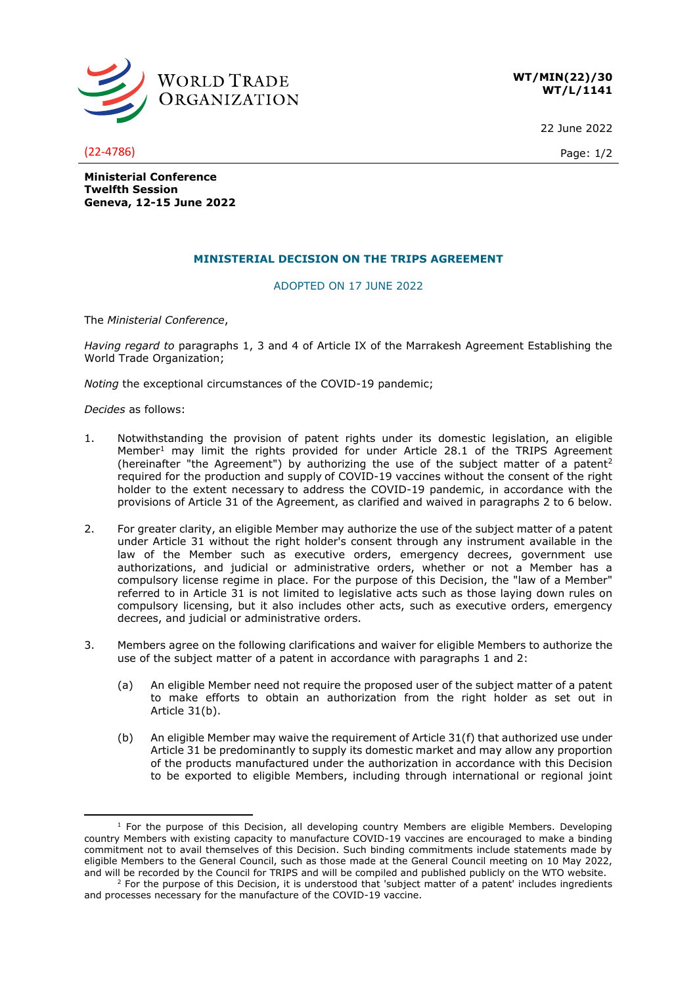

**WT/MIN(22)/30 WT/L/1141**

22 June 2022

(22-4786) Page: 1/2

**Ministerial Conference Twelfth Session Geneva, 12-15 June 2022**

## **MINISTERIAL DECISION ON THE TRIPS AGREEMENT**

## ADOPTED ON 17 JUNE 2022

The *Ministerial Conference*,

*Having regard to* paragraphs 1, 3 and 4 of Article IX of the Marrakesh Agreement Establishing the World Trade Organization;

*Noting* the exceptional circumstances of the COVID-19 pandemic;

*Decides* as follows:

- 1. Notwithstanding the provision of patent rights under its domestic legislation, an eligible Member<sup>1</sup> may limit the rights provided for under Article 28.1 of the TRIPS Agreement (hereinafter "the Agreement") by authorizing the use of the subject matter of a patent<sup>2</sup> required for the production and supply of COVID-19 vaccines without the consent of the right holder to the extent necessary to address the COVID-19 pandemic, in accordance with the provisions of Article 31 of the Agreement, as clarified and waived in paragraphs 2 to 6 below.
- 2. For greater clarity, an eligible Member may authorize the use of the subject matter of a patent under Article 31 without the right holder's consent through any instrument available in the law of the Member such as executive orders, emergency decrees, government use authorizations, and judicial or administrative orders, whether or not a Member has a compulsory license regime in place. For the purpose of this Decision, the "law of a Member" referred to in Article 31 is not limited to legislative acts such as those laying down rules on compulsory licensing, but it also includes other acts, such as executive orders, emergency decrees, and judicial or administrative orders.
- 3. Members agree on the following clarifications and waiver for eligible Members to authorize the use of the subject matter of a patent in accordance with paragraphs 1 and 2:
	- (a) An eligible Member need not require the proposed user of the subject matter of a patent to make efforts to obtain an authorization from the right holder as set out in Article 31(b).
	- (b) An eligible Member may waive the requirement of Article 31(f) that authorized use under Article 31 be predominantly to supply its domestic market and may allow any proportion of the products manufactured under the authorization in accordance with this Decision to be exported to eligible Members, including through international or regional joint

 $<sup>1</sup>$  For the purpose of this Decision, all developing country Members are eligible Members. Developing</sup> country Members with existing capacity to manufacture COVID-19 vaccines are encouraged to make a binding commitment not to avail themselves of this Decision. Such binding commitments include statements made by eligible Members to the General Council, such as those made at the General Council meeting on 10 May 2022, and will be recorded by the Council for TRIPS and will be compiled and published publicly on the WTO website.

<sup>&</sup>lt;sup>2</sup> For the purpose of this Decision, it is understood that 'subject matter of a patent' includes ingredients and processes necessary for the manufacture of the COVID-19 vaccine.